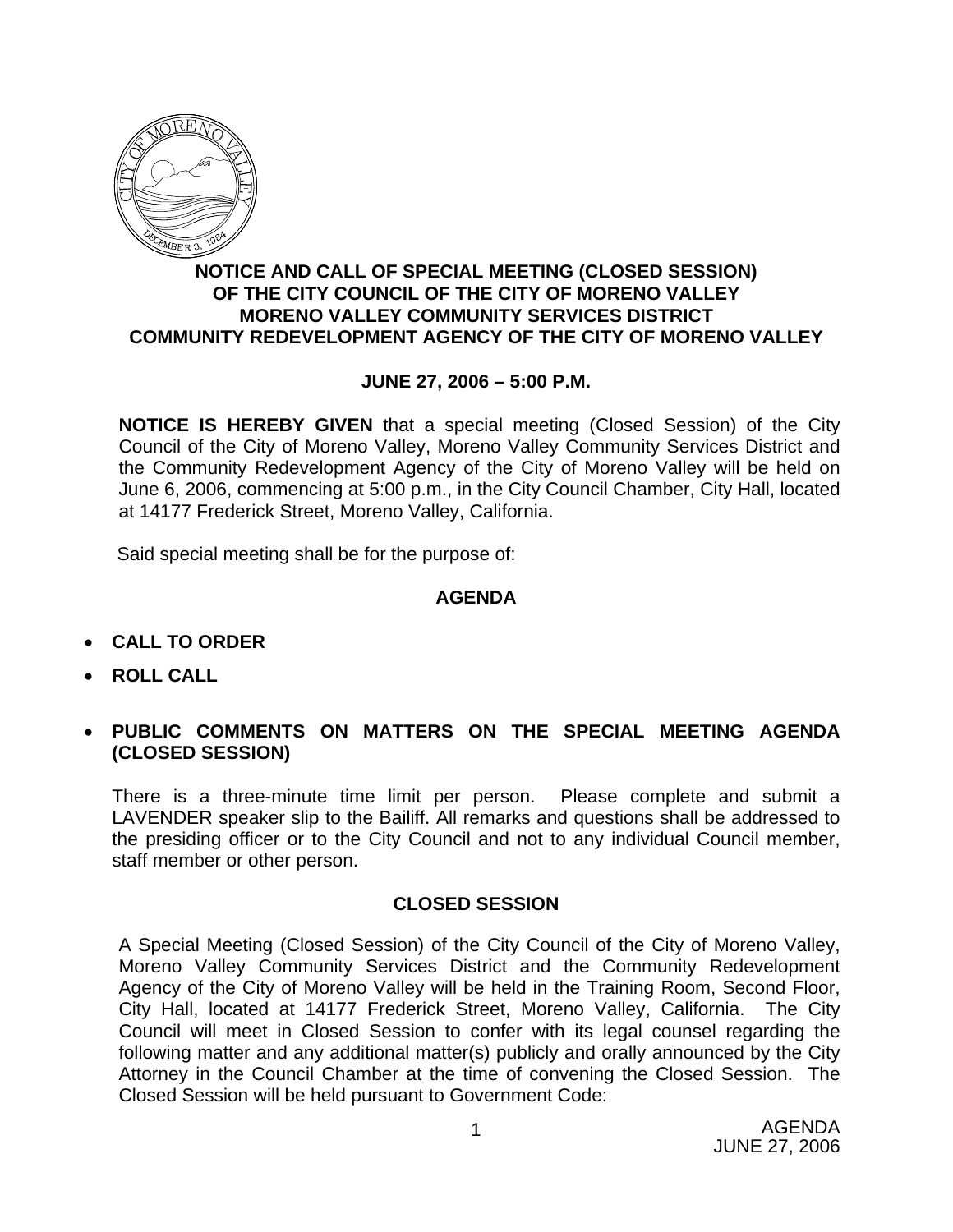

## **NOTICE AND CALL OF SPECIAL MEETING (CLOSED SESSION) OF THE CITY COUNCIL OF THE CITY OF MORENO VALLEY MORENO VALLEY COMMUNITY SERVICES DISTRICT COMMUNITY REDEVELOPMENT AGENCY OF THE CITY OF MORENO VALLEY**

## **JUNE 27, 2006 – 5:00 P.M.**

**NOTICE IS HEREBY GIVEN** that a special meeting (Closed Session) of the City Council of the City of Moreno Valley, Moreno Valley Community Services District and the Community Redevelopment Agency of the City of Moreno Valley will be held on June 6, 2006, commencing at 5:00 p.m., in the City Council Chamber, City Hall, located at 14177 Frederick Street, Moreno Valley, California.

Said special meeting shall be for the purpose of:

## **AGENDA**

- **CALL TO ORDER**
- **ROLL CALL**
- **PUBLIC COMMENTS ON MATTERS ON THE SPECIAL MEETING AGENDA (CLOSED SESSION)**

There is a three-minute time limit per person. Please complete and submit a LAVENDER speaker slip to the Bailiff. All remarks and questions shall be addressed to the presiding officer or to the City Council and not to any individual Council member, staff member or other person.

## **CLOSED SESSION**

A Special Meeting (Closed Session) of the City Council of the City of Moreno Valley, Moreno Valley Community Services District and the Community Redevelopment Agency of the City of Moreno Valley will be held in the Training Room, Second Floor, City Hall, located at 14177 Frederick Street, Moreno Valley, California. The City Council will meet in Closed Session to confer with its legal counsel regarding the following matter and any additional matter(s) publicly and orally announced by the City Attorney in the Council Chamber at the time of convening the Closed Session. The Closed Session will be held pursuant to Government Code: